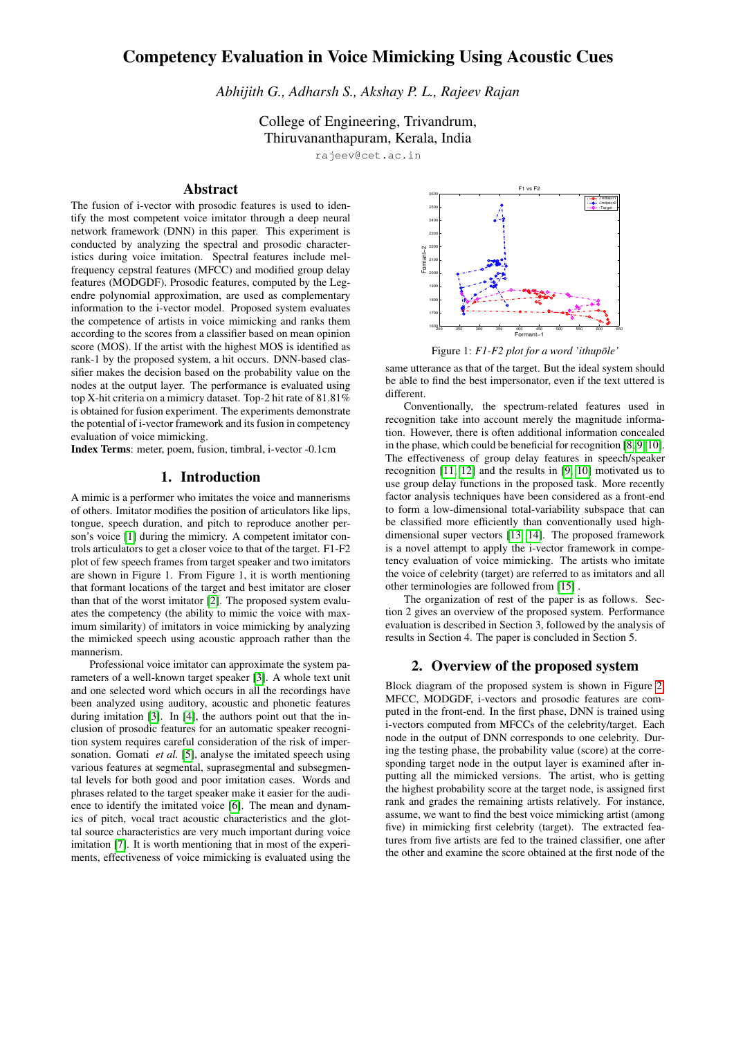# Competency Evaluation in Voice Mimicking Using Acoustic Cues

*Abhijith G., Adharsh S., Akshay P. L., Rajeev Rajan*

College of Engineering, Trivandrum, Thiruvananthapuram, Kerala, India

rajeev@cet.ac.in

## Abstract

The fusion of i-vector with prosodic features is used to identify the most competent voice imitator through a deep neural network framework (DNN) in this paper. This experiment is conducted by analyzing the spectral and prosodic characteristics during voice imitation. Spectral features include melfrequency cepstral features (MFCC) and modified group delay features (MODGDF). Prosodic features, computed by the Legendre polynomial approximation, are used as complementary information to the i-vector model. Proposed system evaluates the competence of artists in voice mimicking and ranks them according to the scores from a classifier based on mean opinion score (MOS). If the artist with the highest MOS is identified as rank-1 by the proposed system, a hit occurs. DNN-based classifier makes the decision based on the probability value on the nodes at the output layer. The performance is evaluated using top X-hit criteria on a mimicry dataset. Top-2 hit rate of 81.81% is obtained for fusion experiment. The experiments demonstrate the potential of i-vector framework and its fusion in competency evaluation of voice mimicking.

Index Terms: meter, poem, fusion, timbral, i-vector -0.1cm

# 1. Introduction

A mimic is a performer who imitates the voice and mannerisms of others. Imitator modifies the position of articulators like lips, tongue, speech duration, and pitch to reproduce another per-son's voice [\[1\]](#page-4-0) during the mimicry. A competent imitator controls articulators to get a closer voice to that of the target. F1-F2 plot of few speech frames from target speaker and two imitators are shown in Figure 1. From Figure 1, it is worth mentioning that formant locations of the target and best imitator are closer than that of the worst imitator [\[2\]](#page-4-1). The proposed system evaluates the competency (the ability to mimic the voice with maximum similarity) of imitators in voice mimicking by analyzing the mimicked speech using acoustic approach rather than the mannerism.

Professional voice imitator can approximate the system parameters of a well-known target speaker [\[3\]](#page-4-2). A whole text unit and one selected word which occurs in all the recordings have been analyzed using auditory, acoustic and phonetic features during imitation [\[3\]](#page-4-2). In [\[4\]](#page-4-3), the authors point out that the inclusion of prosodic features for an automatic speaker recognition system requires careful consideration of the risk of impersonation. Gomati *et al.* [\[5\]](#page-4-4), analyse the imitated speech using various features at segmental, suprasegmental and subsegmental levels for both good and poor imitation cases. Words and phrases related to the target speaker make it easier for the audience to identify the imitated voice [\[6\]](#page-4-5). The mean and dynamics of pitch, vocal tract acoustic characteristics and the glottal source characteristics are very much important during voice imitation [\[7\]](#page-4-6). It is worth mentioning that in most of the experiments, effectiveness of voice mimicking is evaluated using the



Figure 1:  $F1$ - $F2$  plot for a word 'ithupole'

same utterance as that of the target. But the ideal system should be able to find the best impersonator, even if the text uttered is different.

Conventionally, the spectrum-related features used in recognition take into account merely the magnitude information. However, there is often additional information concealed in the phase, which could be beneficial for recognition [\[8,](#page-4-7) [9,](#page-4-8) [10\]](#page-4-9). The effectiveness of group delay features in speech/speaker recognition [\[11,](#page-4-10) [12\]](#page-4-11) and the results in [\[9,](#page-4-8) [10\]](#page-4-9) motivated us to use group delay functions in the proposed task. More recently factor analysis techniques have been considered as a front-end to form a low-dimensional total-variability subspace that can be classified more efficiently than conventionally used highdimensional super vectors [\[13,](#page-4-12) [14\]](#page-4-13). The proposed framework is a novel attempt to apply the i-vector framework in competency evaluation of voice mimicking. The artists who imitate the voice of celebrity (target) are referred to as imitators and all other terminologies are followed from [\[15\]](#page-4-14) .

The organization of rest of the paper is as follows. Section 2 gives an overview of the proposed system. Performance evaluation is described in Section 3, followed by the analysis of results in Section 4. The paper is concluded in Section 5.

### 2. Overview of the proposed system

Block diagram of the proposed system is shown in Figure [2.](#page-1-0) MFCC, MODGDF, i-vectors and prosodic features are computed in the front-end. In the first phase, DNN is trained using i-vectors computed from MFCCs of the celebrity/target. Each node in the output of DNN corresponds to one celebrity. During the testing phase, the probability value (score) at the corresponding target node in the output layer is examined after inputting all the mimicked versions. The artist, who is getting the highest probability score at the target node, is assigned first rank and grades the remaining artists relatively. For instance, assume, we want to find the best voice mimicking artist (among five) in mimicking first celebrity (target). The extracted features from five artists are fed to the trained classifier, one after the other and examine the score obtained at the first node of the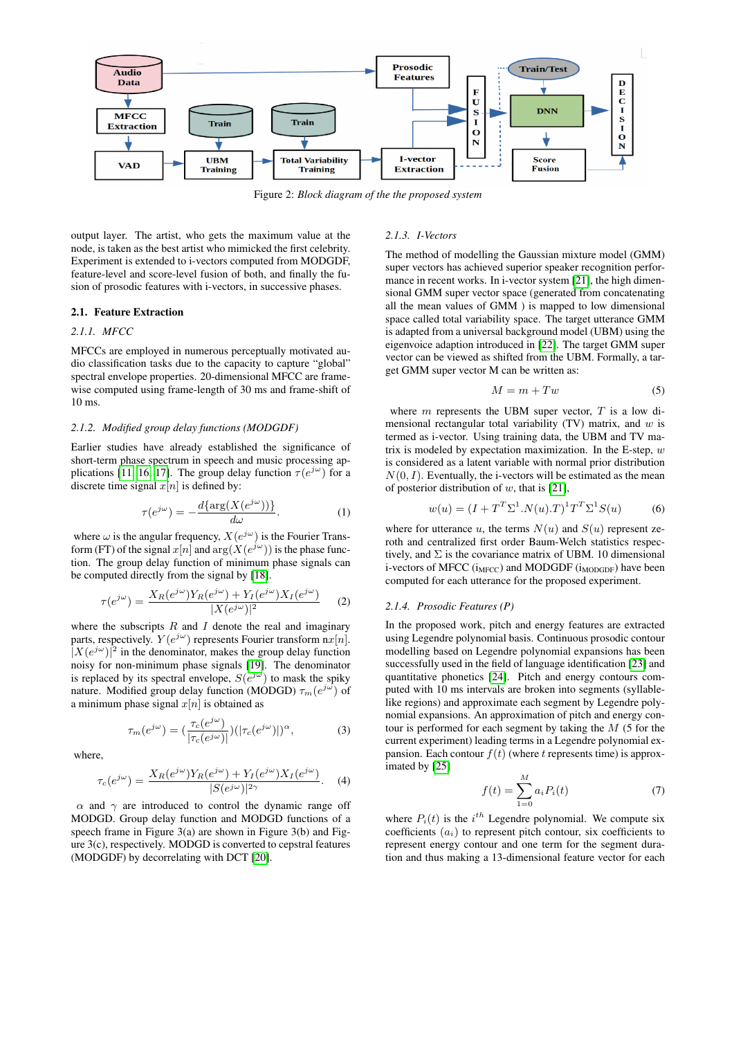<span id="page-1-0"></span>

Figure 2: *Block diagram of the the proposed system*

output layer. The artist, who gets the maximum value at the node, is taken as the best artist who mimicked the first celebrity. Experiment is extended to i-vectors computed from MODGDF, feature-level and score-level fusion of both, and finally the fusion of prosodic features with i-vectors, in successive phases.

### 2.1. Feature Extraction

### *2.1.1. MFCC*

MFCCs are employed in numerous perceptually motivated audio classification tasks due to the capacity to capture "global" spectral envelope properties. 20-dimensional MFCC are framewise computed using frame-length of 30 ms and frame-shift of 10 ms.

#### *2.1.2. Modified group delay functions (MODGDF)*

Earlier studies have already established the significance of short-term phase spectrum in speech and music processing ap-plications [\[11,](#page-4-10) [16,](#page-4-15) [17\]](#page-4-16). The group delay function  $\tau(e^{j\omega})$  for a discrete time signal  $x[n]$  is defined by:

$$
\tau(e^{j\omega}) = -\frac{d\{\arg(X(e^{j\omega}))\}}{d\omega}.
$$
 (1)

where  $\omega$  is the angular frequency,  $X(e^{j\omega})$  is the Fourier Transform (FT) of the signal  $x[n]$  and  $\arg(X(e^{j\omega}))$  is the phase function. The group delay function of minimum phase signals can be computed directly from the signal by [\[18\]](#page-4-17).

$$
\tau(e^{j\omega}) = \frac{X_R(e^{j\omega})Y_R(e^{j\omega}) + Y_I(e^{j\omega})X_I(e^{j\omega})}{|X(e^{j\omega})|^2} \tag{2}
$$

where the subscripts  $R$  and  $I$  denote the real and imaginary parts, respectively.  $Y(e^{j\omega})$  represents Fourier transform  $nx[n]$ .  $[X(e^{j\omega})]^2$  in the denominator, makes the group delay function noisy for non-minimum phase signals [\[19\]](#page-4-18). The denominator is replaced by its spectral envelope,  $S(e^{j\omega})$  to mask the spiky nature. Modified group delay function (MODGD)  $\tau_m(e^{j\omega})$  of a minimum phase signal  $x[n]$  is obtained as

$$
\tau_m(e^{j\omega}) = \left(\frac{\tau_c(e^{j\omega})}{|\tau_c(e^{j\omega})|}\right) \left(|\tau_c(e^{j\omega})|\right)^{\alpha},\tag{3}
$$

where,

$$
\tau_c(e^{j\omega}) = \frac{X_R(e^{j\omega})Y_R(e^{j\omega}) + Y_I(e^{j\omega})X_I(e^{j\omega})}{|S(e^{j\omega})|^{2\gamma}}.
$$
 (4)

 $\alpha$  and  $\gamma$  are introduced to control the dynamic range off MODGD. Group delay function and MODGD functions of a speech frame in Figure 3(a) are shown in Figure 3(b) and Figure 3(c), respectively. MODGD is converted to cepstral features (MODGDF) by decorrelating with DCT [\[20\]](#page-4-19).

## *2.1.3. I-Vectors*

The method of modelling the Gaussian mixture model (GMM) super vectors has achieved superior speaker recognition performance in recent works. In i-vector system [\[21\]](#page-4-20), the high dimensional GMM super vector space (generated from concatenating all the mean values of GMM ) is mapped to low dimensional space called total variability space. The target utterance GMM is adapted from a universal background model (UBM) using the eigenvoice adaption introduced in [\[22\]](#page-4-21). The target GMM super vector can be viewed as shifted from the UBM. Formally, a target GMM super vector M can be written as:

$$
M = m + Tw \tag{5}
$$

where  $m$  represents the UBM super vector,  $T$  is a low dimensional rectangular total variability (TV) matrix, and  $w$  is termed as i-vector. Using training data, the UBM and TV matrix is modeled by expectation maximization. In the E-step,  $w$ is considered as a latent variable with normal prior distribution  $N(0, I)$ . Eventually, the i-vectors will be estimated as the mean of posterior distribution of  $w$ , that is [\[21\]](#page-4-20),

$$
w(u) = (I + T^T \Sigma^1 . N(u) . T)^1 T^T \Sigma^1 S(u)
$$
 (6)

where for utterance u, the terms  $N(u)$  and  $S(u)$  represent zeroth and centralized first order Baum-Welch statistics respectively, and  $\Sigma$  is the covariance matrix of UBM. 10 dimensional i-vectors of MFCC  $(i_{MFCC})$  and MODGDF  $(i_{MODGDE})$  have been computed for each utterance for the proposed experiment.

#### *2.1.4. Prosodic Features (P)*

In the proposed work, pitch and energy features are extracted using Legendre polynomial basis. Continuous prosodic contour modelling based on Legendre polynomial expansions has been successfully used in the field of language identification [\[23\]](#page-4-22) and quantitative phonetics [\[24\]](#page-4-23). Pitch and energy contours computed with 10 ms intervals are broken into segments (syllablelike regions) and approximate each segment by Legendre polynomial expansions. An approximation of pitch and energy contour is performed for each segment by taking the  $M$  (5 for the current experiment) leading terms in a Legendre polynomial expansion. Each contour  $f(t)$  (where t represents time) is approximated by [\[25\]](#page-4-24)

$$
f(t) = \sum_{1=0}^{M} a_i P_i(t)
$$
 (7)

where  $P_i(t)$  is the  $i^{th}$  Legendre polynomial. We compute six coefficients  $(a_i)$  to represent pitch contour, six coefficients to represent energy contour and one term for the segment duration and thus making a 13-dimensional feature vector for each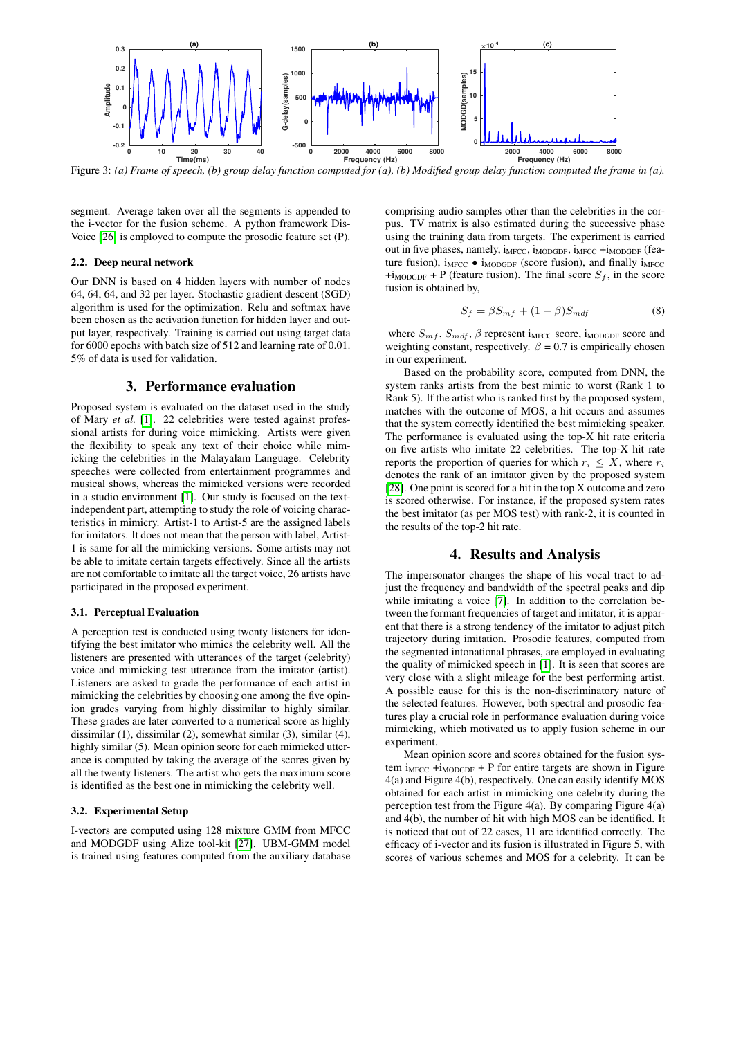

Figure 3: *(a) Frame of speech, (b) group delay function computed for (a), (b) Modified group delay function computed the frame in (a).*

segment. Average taken over all the segments is appended to the i-vector for the fusion scheme. A python framework Dis-Voice [\[26\]](#page-4-25) is employed to compute the prosodic feature set (P).

### 2.2. Deep neural network

Our DNN is based on 4 hidden layers with number of nodes 64, 64, 64, and 32 per layer. Stochastic gradient descent (SGD) algorithm is used for the optimization. Relu and softmax have been chosen as the activation function for hidden layer and output layer, respectively. Training is carried out using target data for 6000 epochs with batch size of 512 and learning rate of 0.01. 5% of data is used for validation.

### 3. Performance evaluation

Proposed system is evaluated on the dataset used in the study of Mary *et al.* [\[1\]](#page-4-0). 22 celebrities were tested against professional artists for during voice mimicking. Artists were given the flexibility to speak any text of their choice while mimicking the celebrities in the Malayalam Language. Celebrity speeches were collected from entertainment programmes and musical shows, whereas the mimicked versions were recorded in a studio environment [\[1\]](#page-4-0). Our study is focused on the textindependent part, attempting to study the role of voicing characteristics in mimicry. Artist-1 to Artist-5 are the assigned labels for imitators. It does not mean that the person with label, Artist-1 is same for all the mimicking versions. Some artists may not be able to imitate certain targets effectively. Since all the artists are not comfortable to imitate all the target voice, 26 artists have participated in the proposed experiment.

### 3.1. Perceptual Evaluation

A perception test is conducted using twenty listeners for identifying the best imitator who mimics the celebrity well. All the listeners are presented with utterances of the target (celebrity) voice and mimicking test utterance from the imitator (artist). Listeners are asked to grade the performance of each artist in mimicking the celebrities by choosing one among the five opinion grades varying from highly dissimilar to highly similar. These grades are later converted to a numerical score as highly dissimilar (1), dissimilar (2), somewhat similar (3), similar (4), highly similar (5). Mean opinion score for each mimicked utterance is computed by taking the average of the scores given by all the twenty listeners. The artist who gets the maximum score is identified as the best one in mimicking the celebrity well.

### 3.2. Experimental Setup

I-vectors are computed using 128 mixture GMM from MFCC and MODGDF using Alize tool-kit [\[27\]](#page-4-26). UBM-GMM model is trained using features computed from the auxiliary database comprising audio samples other than the celebrities in the corpus. TV matrix is also estimated during the successive phase using the training data from targets. The experiment is carried out in five phases, namely,  $i_{MFCC}$ ,  $i_{MDOGDF}$ ,  $i_{MFCC}$  + $i_{MODGDF}$  (feature fusion),  $i_{MFCC} \bullet i_{MODGDF}$  (score fusion), and finally  $i_{MFCC}$  $+i_{\text{MODGDF}}$  + P (feature fusion). The final score  $S_f$ , in the score fusion is obtained by,

$$
S_f = \beta S_{mf} + (1 - \beta) S_{mdf} \tag{8}
$$

where  $S_{mf}$ ,  $S_{mdf}$ ,  $\beta$  represent i<sub>MFCC</sub> score, i<sub>MODGDF</sub> score and weighting constant, respectively.  $\beta = 0.7$  is empirically chosen in our experiment.

Based on the probability score, computed from DNN, the system ranks artists from the best mimic to worst (Rank 1 to Rank 5). If the artist who is ranked first by the proposed system, matches with the outcome of MOS, a hit occurs and assumes that the system correctly identified the best mimicking speaker. The performance is evaluated using the top-X hit rate criteria on five artists who imitate 22 celebrities. The top-X hit rate reports the proportion of queries for which  $r_i \leq X$ , where  $r_i$ denotes the rank of an imitator given by the proposed system [\[28\]](#page-4-27). One point is scored for a hit in the top X outcome and zero is scored otherwise. For instance, if the proposed system rates the best imitator (as per MOS test) with rank-2, it is counted in the results of the top-2 hit rate.

# 4. Results and Analysis

The impersonator changes the shape of his vocal tract to adjust the frequency and bandwidth of the spectral peaks and dip while imitating a voice [\[7\]](#page-4-6). In addition to the correlation between the formant frequencies of target and imitator, it is apparent that there is a strong tendency of the imitator to adjust pitch trajectory during imitation. Prosodic features, computed from the segmented intonational phrases, are employed in evaluating the quality of mimicked speech in [\[1\]](#page-4-0). It is seen that scores are very close with a slight mileage for the best performing artist. A possible cause for this is the non-discriminatory nature of the selected features. However, both spectral and prosodic features play a crucial role in performance evaluation during voice mimicking, which motivated us to apply fusion scheme in our experiment.

Mean opinion score and scores obtained for the fusion system  $i_{MFCC}$  + $i_{MODGDF}$  + P for entire targets are shown in Figure 4(a) and Figure 4(b), respectively. One can easily identify MOS obtained for each artist in mimicking one celebrity during the perception test from the Figure  $4(a)$ . By comparing Figure  $4(a)$ and 4(b), the number of hit with high MOS can be identified. It is noticed that out of 22 cases, 11 are identified correctly. The efficacy of i-vector and its fusion is illustrated in Figure 5, with scores of various schemes and MOS for a celebrity. It can be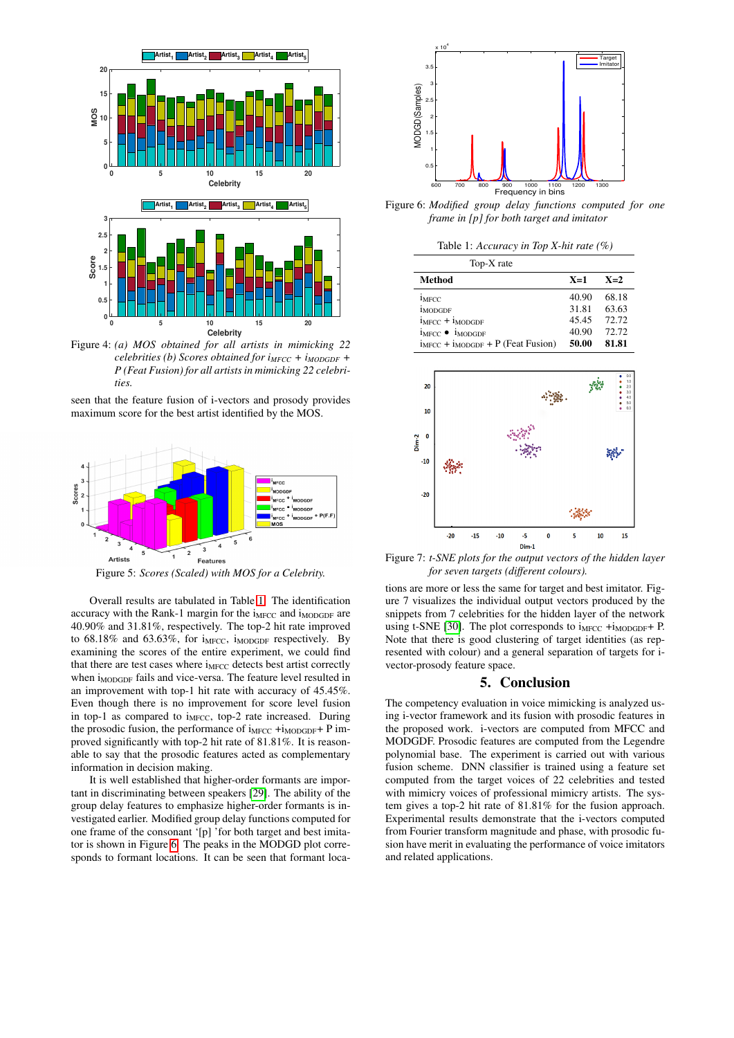

Figure 4: *(a) MOS obtained for all artists in mimicking 22 celebrities (b) Scores obtained for iMFCC + iMODGDF + P (Feat Fusion) for all artists in mimicking 22 celebrities.*

seen that the feature fusion of i-vectors and prosody provides





Figure 5: *Scores (Scaled) with MOS for a Celebrity.*

Overall results are tabulated in Table [1.](#page-3-0) The identification accuracy with the Rank-1 margin for the i<sub>MFCC</sub> and i<sub>MODGDF</sub> are 40.90% and 31.81%, respectively. The top-2 hit rate improved to  $68.18\%$  and  $63.63\%$ , for i<sub>MFCC</sub>, i<sub>MODGDF</sub> respectively. By examining the scores of the entire experiment, we could find that there are test cases where  $i_{MFCC}$  detects best artist correctly when i<sub>MODGDF</sub> fails and vice-versa. The feature level resulted in an improvement with top-1 hit rate with accuracy of 45.45%. Even though there is no improvement for score level fusion in top-1 as compared to  $i_{MFCC}$ , top-2 rate increased. During the prosodic fusion, the performance of  $i_{MFCC} + i_{MODGDF} + P$  improved significantly with top-2 hit rate of 81.81%. It is reasonable to say that the prosodic features acted as complementary information in decision making.

It is well established that higher-order formants are important in discriminating between speakers [\[29\]](#page-4-28). The ability of the group delay features to emphasize higher-order formants is investigated earlier. Modified group delay functions computed for one frame of the consonant '[p] 'for both target and best imitator is shown in Figure [6.](#page-3-1) The peaks in the MODGD plot corresponds to formant locations. It can be seen that formant loca-

<span id="page-3-1"></span>

<span id="page-3-0"></span>Figure 6: *Modified group delay functions computed for one frame in [p] for both target and imitator*

| Top-X rate                                                                                                                              |                                           |                                           |
|-----------------------------------------------------------------------------------------------------------------------------------------|-------------------------------------------|-------------------------------------------|
| <b>Method</b>                                                                                                                           | $X=1$                                     | $X=2$                                     |
| <b>IMFCC</b><br><b>IMODGDF</b><br>$iMECC + iMODGDF$<br>$i_{MFCC}$ $\bullet$ $i_{MODGDF}$<br>$i_{MFCC}$ + $i_{MODGDF}$ + P (Feat Fusion) | 40.90<br>31.81<br>45.45<br>40.90<br>50.00 | 68.18<br>63.63<br>72.72<br>72.72<br>81.81 |



Figure 7: *t-SNE plots for the output vectors of the hidden layer for seven targets (different colours).*

tions are more or less the same for target and best imitator. Figure 7 visualizes the individual output vectors produced by the snippets from 7 celebrities for the hidden layer of the network using t-SNE [\[30\]](#page-4-29). The plot corresponds to  $i_{MFCC}$  + $i_{MODGDF}$ + P. Note that there is good clustering of target identities (as represented with colour) and a general separation of targets for ivector-prosody feature space.

## 5. Conclusion

The competency evaluation in voice mimicking is analyzed using i-vector framework and its fusion with prosodic features in the proposed work. i-vectors are computed from MFCC and MODGDF. Prosodic features are computed from the Legendre polynomial base. The experiment is carried out with various fusion scheme. DNN classifier is trained using a feature set computed from the target voices of 22 celebrities and tested with mimicry voices of professional mimicry artists. The system gives a top-2 hit rate of 81.81% for the fusion approach. Experimental results demonstrate that the i-vectors computed from Fourier transform magnitude and phase, with prosodic fusion have merit in evaluating the performance of voice imitators and related applications.